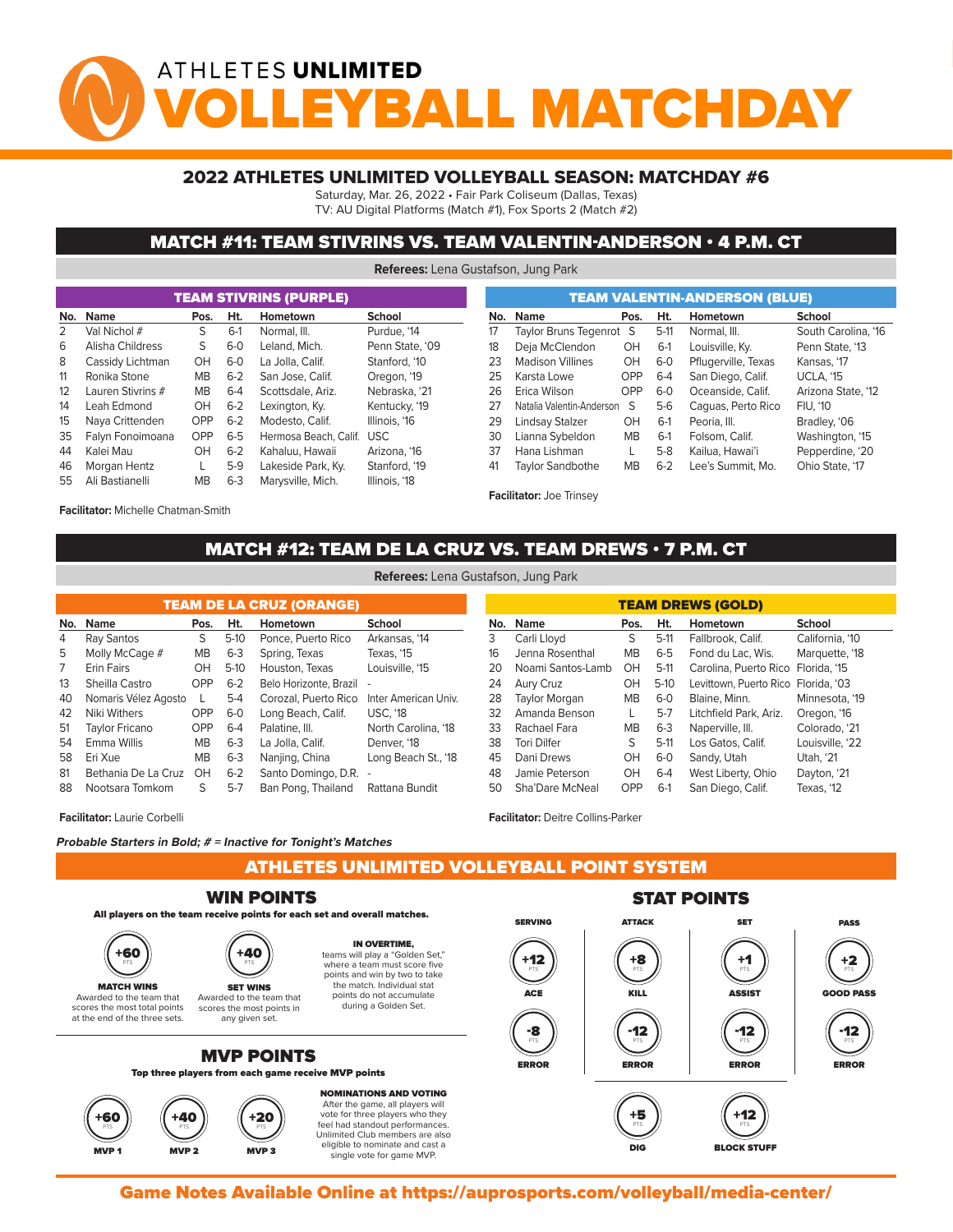# ATHLETES UNLIMITED *Y***BALL MATCHDA**

#### 2022 ATHLETES UNLIMITED VOLLEYBALL SEASON: MATCHDAY #6

Saturday, Mar. 26, 2022 • Fair Park Coliseum (Dallas, Texas)

TV: AU Digital Platforms (Match #1), Fox Sports 2 (Match #2)

#### MATCH #11: TEAM STIVRINS VS. TEAM VALENTIN-ANDERSON • 4 P.M. CT

**Referees:** Lena Gustafson, Jung Park

|     |                   |            |         | <b>TEAM STIVRINS (PURPLE)</b> |                 |     | <b>TEAM VALENTIN-ANDERSON (BLUE)</b> |                                 |                                |         |                     |  |  |  |  |  |
|-----|-------------------|------------|---------|-------------------------------|-----------------|-----|--------------------------------------|---------------------------------|--------------------------------|---------|---------------------|--|--|--|--|--|
| No. | Name              | Pos.       | Ht.     | Hometown                      | School          | No. |                                      | <b>Name</b>                     | Pos.                           | Ht.     | Hometown            |  |  |  |  |  |
| 2   | Val Nichol #      | S          | $6-1$   | Normal, III.                  | Purdue. '14     | 17  |                                      |                                 | Taylor Bruns Tegenrot S        | $5-11$  | Normal, III.        |  |  |  |  |  |
| 6   | Alisha Childress  | S.         | $6 - 0$ | Leland, Mich.                 | Penn State, '09 | 18  |                                      | Deja McClendon                  | OH                             | $6-1$   | Louisville, Ky.     |  |  |  |  |  |
| 8   | Cassidy Lichtman  | OH         | $6 - 0$ | La Jolla, Calif.              | Stanford, '10   | 23  |                                      | <b>Madison Villines</b>         | OH                             | $6-0$   | Pflugerville, Texas |  |  |  |  |  |
| 11  | Ronika Stone      | MВ         | $6 - 2$ | San Jose, Calif.              | Oregon, '19     | 25  |                                      | Karsta Lowe                     | <b>OPP</b>                     | $6 - 4$ | San Diego, Calif.   |  |  |  |  |  |
| 12  | Lauren Stivrins # | <b>MB</b>  | $6 - 4$ | Scottsdale, Ariz.             | Nebraska. '21   | 26  |                                      | Erica Wilson                    | OPP                            | $6 - 0$ | Oceanside, Calif.   |  |  |  |  |  |
| 14  | Leah Edmond       | OH         | $6 - 2$ | Lexington, Ky.                | Kentucky, '19   | 27  |                                      |                                 | Natalia Valentin-Anderson<br>S | $5-6$   | Caguas, Perto Rico  |  |  |  |  |  |
| 15  | Naya Crittenden   | <b>OPP</b> | $6 - 2$ | Modesto, Calif.               | Illinois, '16   | 29  |                                      | Lindsay Stalzer                 | OH                             | $6-1$   | Peoria, III.        |  |  |  |  |  |
| 35  | Falvn Fonoimoana  | <b>OPP</b> | $6 - 5$ | Hermosa Beach, Calif. USC     |                 | 30  |                                      | Lianna Sybeldon                 | <b>MB</b>                      | $6-1$   | Folsom, Calif.      |  |  |  |  |  |
| 44  | Kalei Mau         | OН         | $6 - 2$ | Kahaluu, Hawaii               | Arizona, '16    | 37  |                                      | Hana Lishman                    |                                | $5-8$   | Kailua, Hawai'i     |  |  |  |  |  |
| 46  | Morgan Hentz      |            | $5-9$   | Lakeside Park, Ky.            | Stanford, '19   | 41  |                                      | <b>Taylor Sandbothe</b>         | MВ                             | $6 - 2$ | Lee's Summit, Mo.   |  |  |  |  |  |
| 55  | Ali Bastianelli   | MВ         | $6 - 3$ | Marysville, Mich.             | Illinois, '18   |     |                                      |                                 |                                |         |                     |  |  |  |  |  |
|     |                   |            |         |                               |                 |     |                                      | <b>Facilitator: Joe Trinsey</b> |                                |         |                     |  |  |  |  |  |

**Facilitator:** Michelle Chatman-Smith

## MATCH #12: TEAM DE LA CRUZ VS. TEAM DREWS • 7 P.M. CT

| <b>TEAM DE LA CRUZ (ORANGE)</b> |                      |           |         |                        |                      |  |  |  |  |  |  |  |  |
|---------------------------------|----------------------|-----------|---------|------------------------|----------------------|--|--|--|--|--|--|--|--|
| No.                             | <b>Name</b>          | Pos.      | Ht.     | Hometown               | <b>School</b>        |  |  |  |  |  |  |  |  |
| 4                               | Ray Santos           | S         | $5-10$  | Ponce, Puerto Rico     | Arkansas, '14        |  |  |  |  |  |  |  |  |
| 5                               | Molly McCage #       | <b>MB</b> | $6 - 3$ | Spring, Texas          | Texas, '15           |  |  |  |  |  |  |  |  |
| 7                               | <b>Erin Fairs</b>    | OН        | $5-10$  | Houston, Texas         | Louisville, '15      |  |  |  |  |  |  |  |  |
| 13                              | Sheilla Castro       | OPP       | $6 - 2$ | Belo Horizonte, Brazil |                      |  |  |  |  |  |  |  |  |
| 40                              | Nomaris Vélez Agosto |           | $5 - 4$ | Corozal, Puerto Rico   | Inter American Univ. |  |  |  |  |  |  |  |  |
| 42                              | Niki Withers         | OPP       | $6-0$   | Long Beach, Calif.     | <b>USC, '18</b>      |  |  |  |  |  |  |  |  |
| 51                              | Taylor Fricano       | OPP       | $6 - 4$ | Palatine, III.         | North Carolina, '18  |  |  |  |  |  |  |  |  |
| 54                              | Emma Willis          | <b>MB</b> | $6 - 3$ | La Jolla, Calif.       | Denver. '18          |  |  |  |  |  |  |  |  |
| 58                              | Eri Xue              | <b>MB</b> | $6 - 3$ | Nanjing, China         | Long Beach St., '18  |  |  |  |  |  |  |  |  |
| 81                              | Bethania De La Cruz  | OH        | $6-2$   | Santo Domingo, D.R.    |                      |  |  |  |  |  |  |  |  |
| 88                              | Nootsara Tomkom      | S         | $5 - 7$ | Ban Pong, Thailand     | Rattana Bundit       |  |  |  |  |  |  |  |  |

| <b>TEAM DREWS (GOLD)</b> |                      |           |         |                                     |                 |  |  |  |  |  |  |  |
|--------------------------|----------------------|-----------|---------|-------------------------------------|-----------------|--|--|--|--|--|--|--|
| No.                      | <b>Name</b>          | Pos.      | Ht.     | Hometown                            | School          |  |  |  |  |  |  |  |
| 3                        | Carli Lloyd          | S         | $5-11$  | Fallbrook, Calif.                   | California, '10 |  |  |  |  |  |  |  |
| 16                       | Jenna Rosenthal      | <b>MB</b> | $6-5$   | Fond du Lac. Wis.                   | Marquette, '18  |  |  |  |  |  |  |  |
| 20                       | Noami Santos-Lamb    | OH        | $5-11$  | Carolina, Puerto Rico               | Florida, '15    |  |  |  |  |  |  |  |
| 24                       | Aury Cruz            | OH        | $5-10$  | Levittown, Puerto Rico Florida, '03 |                 |  |  |  |  |  |  |  |
| 28                       | <b>Taylor Morgan</b> | <b>MB</b> | $6-0$   | Blaine, Minn.                       | Minnesota, '19  |  |  |  |  |  |  |  |
| 32                       | Amanda Benson        | L         | $5 - 7$ | Litchfield Park, Ariz.              | Oregon, '16     |  |  |  |  |  |  |  |
| 33                       | Rachael Fara         | <b>MB</b> | $6-3$   | Naperville, III.                    | Colorado, '21   |  |  |  |  |  |  |  |
| 38                       | <b>Tori Dilfer</b>   | S         | $5-11$  | Los Gatos, Calif.                   | Louisville, '22 |  |  |  |  |  |  |  |
| 45                       | Dani Drews           | OH        | $6-0$   | Sandy, Utah                         | Utah, '21       |  |  |  |  |  |  |  |
| 48                       | Jamie Peterson       | OH        | $6-4$   | West Liberty, Ohio                  | Dayton, '21     |  |  |  |  |  |  |  |
| 50                       | Sha'Dare McNeal      | OPP       | $6-1$   | San Diego, Calif.                   | Texas, '12      |  |  |  |  |  |  |  |

single vote for game MVP.

**Facilitator:** Laurie Corbelli

**Probable Starters in Bold; # = Inactive for Tonight's Matches**

ATHLETES UNLIMITED VOLLEYBALL POINT SYSTEM MVP 2 MVP 2 MVP 3 MVP 3 MVP 3 MVP 3 MVP 3 MVP 3 MVP 3 MVP 3 MVP 3 MVP 3 MVP 3 MVP 3 MVP 3 MVP 3 MVP 3 MVP 3 MV

**Facilitator:** Deitre Collins-Parker



Game Notes Available Online at https://auprosports.com/volleyball/media-center/<br>.

**Referees:** Lena Gustafson, Jung Park